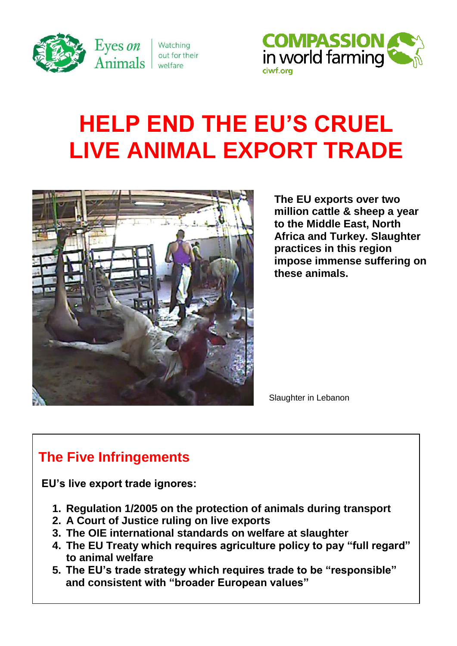

Watching out for their welfare



# **HELP END THE EU'S CRUEL LIVE ANIMAL EXPORT TRADE**



**The EU exports over two million cattle & sheep a year to the Middle East, North Africa and Turkey. Slaughter practices in this region impose immense suffering on these animals.**

Slaughter in Lebanon

## **The Five Infringements**

**EU's live export trade ignores:**

- **1. Regulation 1/2005 on the protection of animals during transport**
- **2. A Court of Justice ruling on live exports**
- **3. The OIE international standards on welfare at slaughter**
- **4. The EU Treaty which requires agriculture policy to pay "full regard" to animal welfare**
- **5. The EU's trade strategy which requires trade to be "responsible" and consistent with "broader European values"**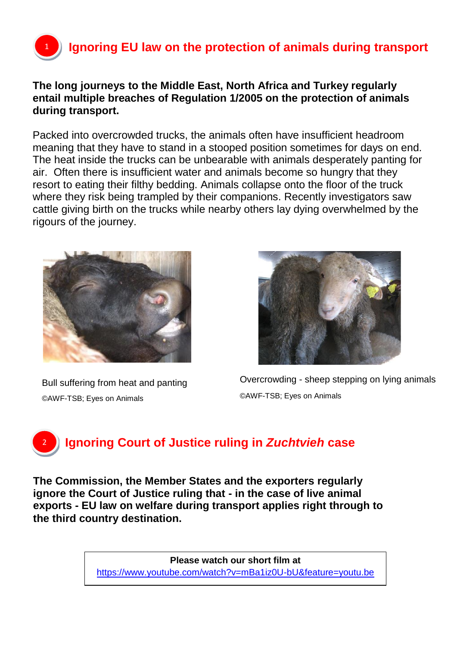# **Ignoring EU law on the protection of animals during transport**

#### **The long journeys to the Middle East, North Africa and Turkey regularly entail multiple breaches of Regulation 1/2005 on the protection of animals during transport.**

Packed into overcrowded trucks, the animals often have insufficient headroom meaning that they have to stand in a stooped position sometimes for days on end. The heat inside the trucks can be unbearable with animals desperately panting for air. Often there is insufficient water and animals become so hungry that they resort to eating their filthy bedding. Animals collapse onto the floor of the truck where they risk being trampled by their companions. Recently investigators saw cattle giving birth on the trucks while nearby others lay dying overwhelmed by the rigours of the journey.



Bull suffering from heat and panting ©AWF-TSB; Eyes on Animals



Overcrowding - sheep stepping on lying animals ©AWF-TSB; Eyes on Animals

## <sup>2</sup> **Ignoring Court of Justice ruling in** *Zuchtvieh* **case**

**The Commission, the Member States and the exporters regularly ignore the Court of Justice ruling that - in the case of live animal exports - EU law on welfare during transport applies right through to the third country destination.**

> **Please watch our short film at** <https://www.youtube.com/watch?v=mBa1iz0U-bU&feature=youtu.be>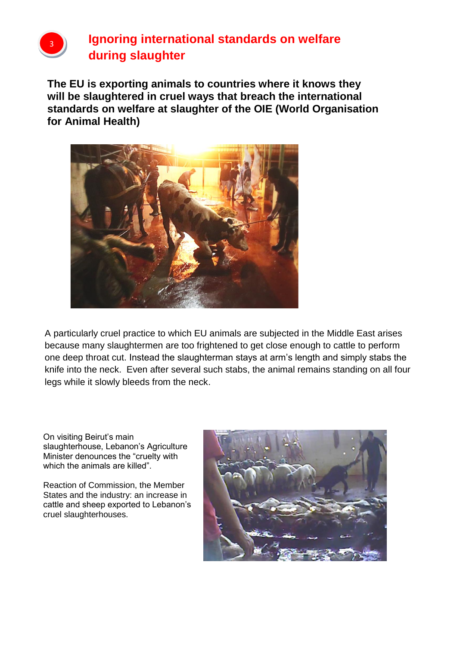

### **Ignoring international standards on welfare during slaughter**

**The EU is exporting animals to countries where it knows they will be slaughtered in cruel ways that breach the international standards on welfare at slaughter of the OIE (World Organisation for Animal Health)**



A particularly cruel practice to which EU animals are subjected in the Middle East arises because many slaughtermen are too frightened to get close enough to cattle to perform one deep throat cut. Instead the slaughterman stays at arm's length and simply stabs the knife into the neck. Even after several such stabs, the animal remains standing on all four legs while it slowly bleeds from the neck.

On visiting Beirut's main slaughterhouse, Lebanon's Agriculture Minister denounces the "cruelty with which the animals are killed".

Reaction of Commission, the Member States and the industry: an increase in cattle and sheep exported to Lebanon's cruel slaughterhouses.